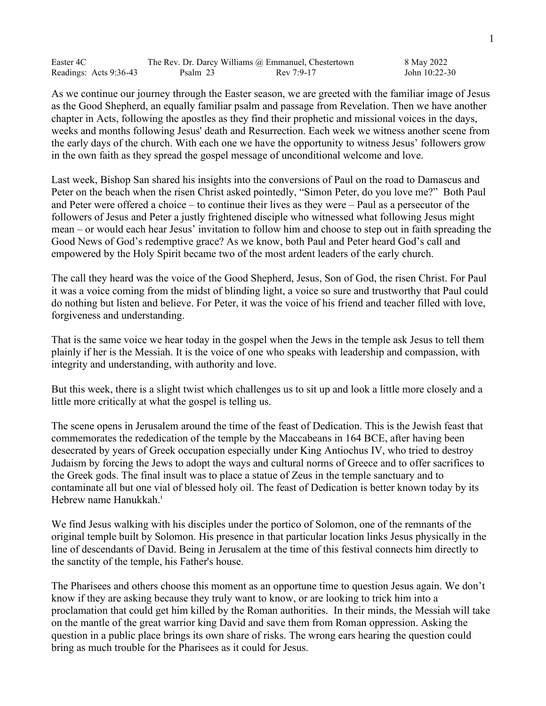| Easter 4C              |          | The Rev. Dr. Darcy Williams @ Emmanuel, Chestertown | 8 May 2022    |
|------------------------|----------|-----------------------------------------------------|---------------|
| Readings: Acts 9:36-43 | Psalm 23 | Rev 7:9-17                                          | John 10:22-30 |

As we continue our journey through the Easter season, we are greeted with the familiar image of Jesus as the Good Shepherd, an equally familiar psalm and passage from Revelation. Then we have another chapter in Acts, following the apostles as they find their prophetic and missional voices in the days, weeks and months following Jesus' death and Resurrection. Each week we witness another scene from the early days of the church. With each one we have the opportunity to witness Jesus' followers grow in the own faith as they spread the gospel message of unconditional welcome and love.

Last week, Bishop San shared his insights into the conversions of Paul on the road to Damascus and Peter on the beach when the risen Christ asked pointedly, "Simon Peter, do you love me?" Both Paul and Peter were offered a choice – to continue their lives as they were – Paul as a persecutor of the followers of Jesus and Peter a justly frightened disciple who witnessed what following Jesus might mean – or would each hear Jesus' invitation to follow him and choose to step out in faith spreading the Good News of God's redemptive grace? As we know, both Paul and Peter heard God's call and empowered by the Holy Spirit became two of the most ardent leaders of the early church.

The call they heard was the voice of the Good Shepherd, Jesus, Son of God, the risen Christ. For Paul it was a voice coming from the midst of blinding light, a voice so sure and trustworthy that Paul could do nothing but listen and believe. For Peter, it was the voice of his friend and teacher filled with love, forgiveness and understanding.

That is the same voice we hear today in the gospel when the Jews in the temple ask Jesus to tell them plainly if her is the Messiah. It is the voice of one who speaks with leadership and compassion, with integrity and understanding, with authority and love.

But this week, there is a slight twist which challenges us to sit up and look a little more closely and a little more critically at what the gospel is telling us.

The scene opens in Jerusalem around the time of the feast of Dedication. This is the Jewish feast that commemorates the rededication of the temple by the Maccabeans in 164 BCE, after having been desecrated by years of Greek occupation especially under King Antiochus IV, who tried to destroy Judaism by forcing the Jews to adopt the ways and cultural norms of Greece and to offer sacrifices to the Greek gods. The final insult was to place a statue of Zeus in the temple sanctuary and to contaminate all but one vial of blessed holy oil. The feast of Dedication is better known today by its Hebrew name Hanukkah. i

We find Jesus walking with his disciples under the portico of Solomon, one of the remnants of the original temple built by Solomon. His presence in that particular location links Jesus physically in the line of descendants of David. Being in Jerusalem at the time of this festival connects him directly to the sanctity of the temple, his Father's house.

The Pharisees and others choose this moment as an opportune time to question Jesus again. We don't know if they are asking because they truly want to know, or are looking to trick him into a proclamation that could get him killed by the Roman authorities. In their minds, the Messiah will take on the mantle of the great warrior king David and save them from Roman oppression. Asking the question in a public place brings its own share of risks. The wrong ears hearing the question could bring as much trouble for the Pharisees as it could for Jesus.